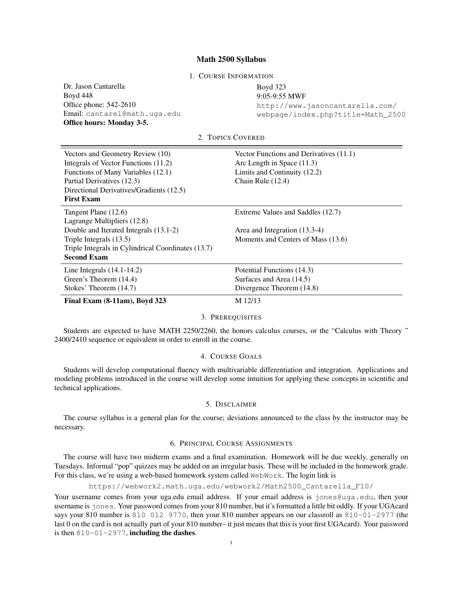### Math 2500 Syllabus

1. COURSE INFORMATION

Dr. Jason Cantarella Boyd 448 Office phone: 542-2610 Email: cantarel@math.uga.edu Office hours: Monday 3-5.

# Boyd 323 9:05-9:55 MWF http://www.jasoncantarella.com/ webpage/index.php?title=Math\_2500

2. TOPICS COVERED

| Vectors and Geometry Review (10)                   | Vector Functions and Derivatives (11.1) |
|----------------------------------------------------|-----------------------------------------|
| Integrals of Vector Functions (11.2)               | Arc Length in Space $(11.3)$            |
| Functions of Many Variables (12.1)                 | Limits and Continuity (12.2)            |
| Partial Derivatives (12.3)                         | Chain Rule $(12.4)$                     |
| Directional Derivatives/Gradients (12.5)           |                                         |
| <b>First Exam</b>                                  |                                         |
| Tangent Plane (12.6)                               | Extreme Values and Saddles (12.7)       |
| Lagrange Multipliers (12.8)                        |                                         |
| Double and Iterated Integrals (13.1-2)             | Area and Integration (13.3-4)           |
| Triple Integrals (13.5)                            | Moments and Centers of Mass (13.6)      |
| Triple Integrals in Cylindrical Coordinates (13.7) |                                         |
| <b>Second Exam</b>                                 |                                         |
| Line Integrals $(14.1-14.2)$                       | Potential Functions (14.3)              |
| Green's Theorem (14.4)                             | Surfaces and Area (14.5)                |
| Stokes' Theorem (14.7)                             | Divergence Theorem (14.8)               |
| Final Exam $(8-11am)$ , Boyd 323                   | M 12/13                                 |

### 3. PREREQUISITES

Students are expected to have MATH 2250/2260, the honors calculus courses, or the "Calculus with Theory " 2400/2410 sequence or equivalent in order to enroll in the course.

### 4. COURSE GOALS

Students will develop computational fluency with multivariable differentiation and integration. Applications and modeling problems introduced in the course will develop some intuition for applying these concepts in scientific and technical applications.

## 5. DISCLAIMER

The course syllabus is a general plan for the course; deviations announced to the class by the instructor may be necessary.

### 6. PRINCIPAL COURSE ASSIGNMENTS

The course will have two midterm exams and a final examination. Homework will be due weekly, generally on Tuesdays. Informal "pop" quizzes may be added on an irregular basis. These will be included in the homework grade. For this class, we're using a web-based homework system called WebWork. The login link is

https://webwork2.math.uga.edu/webwork2/Math2500\_Cantarella\_F10/

Your username comes from your uga.edu email address. If your email address is jones@uga.edu, then your username is jones. Your password comes from your 810 number, but it's formatted a little bit oddly. If your UGAcard says your 810 number is 810 012 9770, then your 810 number appears on our classroll as 810-01-2977 (the last 0 on the card is not actually part of your 810 number– it just means that this is your first UGAcard). Your password is then  $810-01-2977$ , including the dashes.